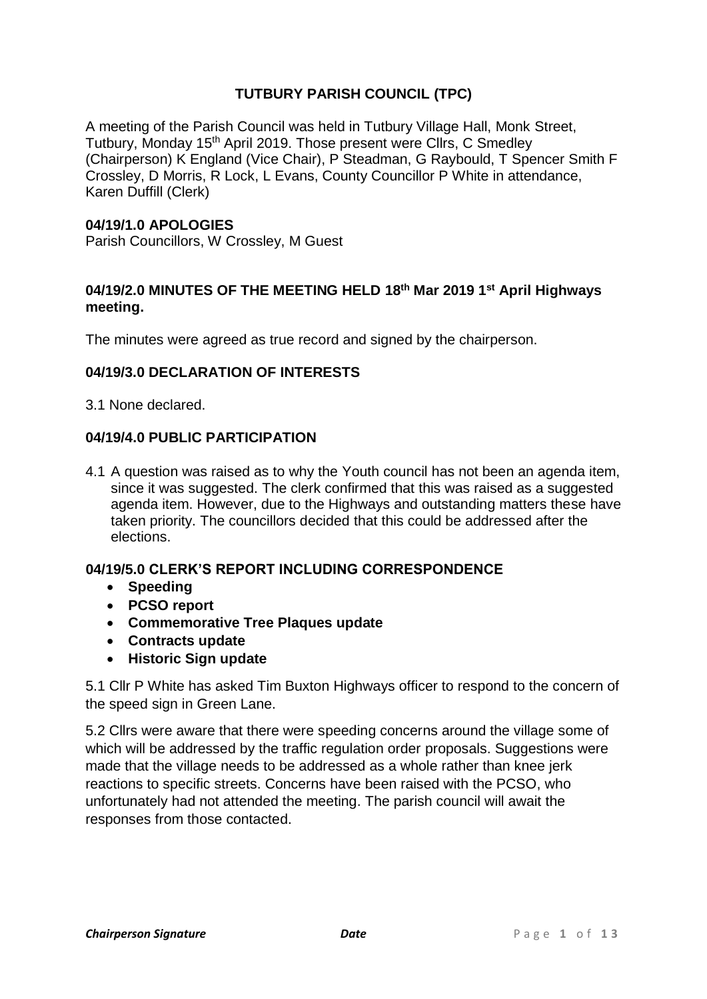# **TUTBURY PARISH COUNCIL (TPC)**

A meeting of the Parish Council was held in Tutbury Village Hall, Monk Street, Tutbury, Monday 15<sup>th</sup> April 2019. Those present were Cllrs, C Smedley (Chairperson) K England (Vice Chair), P Steadman, G Raybould, T Spencer Smith F Crossley, D Morris, R Lock, L Evans, County Councillor P White in attendance, Karen Duffill (Clerk)

## **04/19/1.0 APOLOGIES**

Parish Councillors, W Crossley, M Guest

## **04/19/2.0 MINUTES OF THE MEETING HELD 18th Mar 2019 1 st April Highways meeting.**

The minutes were agreed as true record and signed by the chairperson.

## **04/19/3.0 DECLARATION OF INTERESTS**

3.1 None declared.

## **04/19/4.0 PUBLIC PARTICIPATION**

4.1 A question was raised as to why the Youth council has not been an agenda item, since it was suggested. The clerk confirmed that this was raised as a suggested agenda item. However, due to the Highways and outstanding matters these have taken priority. The councillors decided that this could be addressed after the elections.

# **04/19/5.0 CLERK'S REPORT INCLUDING CORRESPONDENCE**

- **Speeding**
- **PCSO report**
- **Commemorative Tree Plaques update**
- **Contracts update**
- **Historic Sign update**

5.1 Cllr P White has asked Tim Buxton Highways officer to respond to the concern of the speed sign in Green Lane.

5.2 Cllrs were aware that there were speeding concerns around the village some of which will be addressed by the traffic regulation order proposals. Suggestions were made that the village needs to be addressed as a whole rather than knee jerk reactions to specific streets. Concerns have been raised with the PCSO, who unfortunately had not attended the meeting. The parish council will await the responses from those contacted.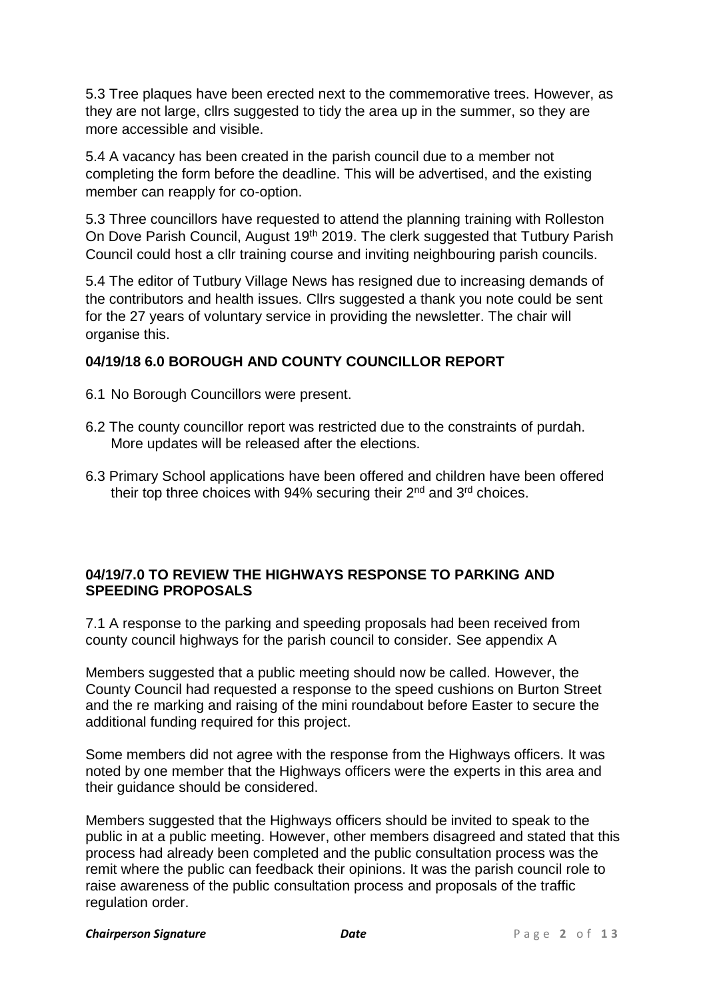5.3 Tree plaques have been erected next to the commemorative trees. However, as they are not large, cllrs suggested to tidy the area up in the summer, so they are more accessible and visible.

5.4 A vacancy has been created in the parish council due to a member not completing the form before the deadline. This will be advertised, and the existing member can reapply for co-option.

5.3 Three councillors have requested to attend the planning training with Rolleston On Dove Parish Council, August 19<sup>th</sup> 2019. The clerk suggested that Tutbury Parish Council could host a cllr training course and inviting neighbouring parish councils.

5.4 The editor of Tutbury Village News has resigned due to increasing demands of the contributors and health issues. Cllrs suggested a thank you note could be sent for the 27 years of voluntary service in providing the newsletter. The chair will organise this.

# **04/19/18 6.0 BOROUGH AND COUNTY COUNCILLOR REPORT**

- 6.1 No Borough Councillors were present.
- 6.2 The county councillor report was restricted due to the constraints of purdah. More updates will be released after the elections.
- 6.3 Primary School applications have been offered and children have been offered their top three choices with 94% securing their  $2^{nd}$  and  $3^{rd}$  choices.

## **04/19/7.0 TO REVIEW THE HIGHWAYS RESPONSE TO PARKING AND SPEEDING PROPOSALS**

7.1 A response to the parking and speeding proposals had been received from county council highways for the parish council to consider. See appendix A

Members suggested that a public meeting should now be called. However, the County Council had requested a response to the speed cushions on Burton Street and the re marking and raising of the mini roundabout before Easter to secure the additional funding required for this project.

Some members did not agree with the response from the Highways officers. It was noted by one member that the Highways officers were the experts in this area and their guidance should be considered.

Members suggested that the Highways officers should be invited to speak to the public in at a public meeting. However, other members disagreed and stated that this process had already been completed and the public consultation process was the remit where the public can feedback their opinions. It was the parish council role to raise awareness of the public consultation process and proposals of the traffic regulation order.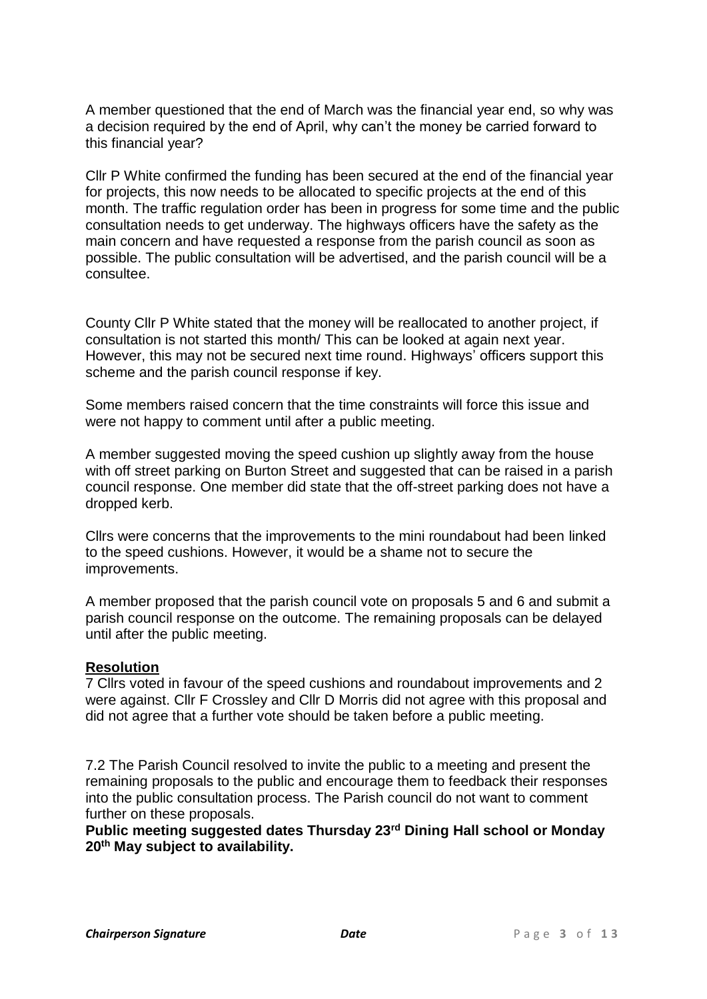A member questioned that the end of March was the financial year end, so why was a decision required by the end of April, why can't the money be carried forward to this financial year?

Cllr P White confirmed the funding has been secured at the end of the financial year for projects, this now needs to be allocated to specific projects at the end of this month. The traffic regulation order has been in progress for some time and the public consultation needs to get underway. The highways officers have the safety as the main concern and have requested a response from the parish council as soon as possible. The public consultation will be advertised, and the parish council will be a consultee.

County Cllr P White stated that the money will be reallocated to another project, if consultation is not started this month/ This can be looked at again next year. However, this may not be secured next time round. Highways' officers support this scheme and the parish council response if key.

Some members raised concern that the time constraints will force this issue and were not happy to comment until after a public meeting.

A member suggested moving the speed cushion up slightly away from the house with off street parking on Burton Street and suggested that can be raised in a parish council response. One member did state that the off-street parking does not have a dropped kerb.

Cllrs were concerns that the improvements to the mini roundabout had been linked to the speed cushions. However, it would be a shame not to secure the improvements.

A member proposed that the parish council vote on proposals 5 and 6 and submit a parish council response on the outcome. The remaining proposals can be delayed until after the public meeting.

#### **Resolution**

7 Cllrs voted in favour of the speed cushions and roundabout improvements and 2 were against. Cllr F Crossley and Cllr D Morris did not agree with this proposal and did not agree that a further vote should be taken before a public meeting.

7.2 The Parish Council resolved to invite the public to a meeting and present the remaining proposals to the public and encourage them to feedback their responses into the public consultation process. The Parish council do not want to comment further on these proposals.

**Public meeting suggested dates Thursday 23rd Dining Hall school or Monday 20th May subject to availability.**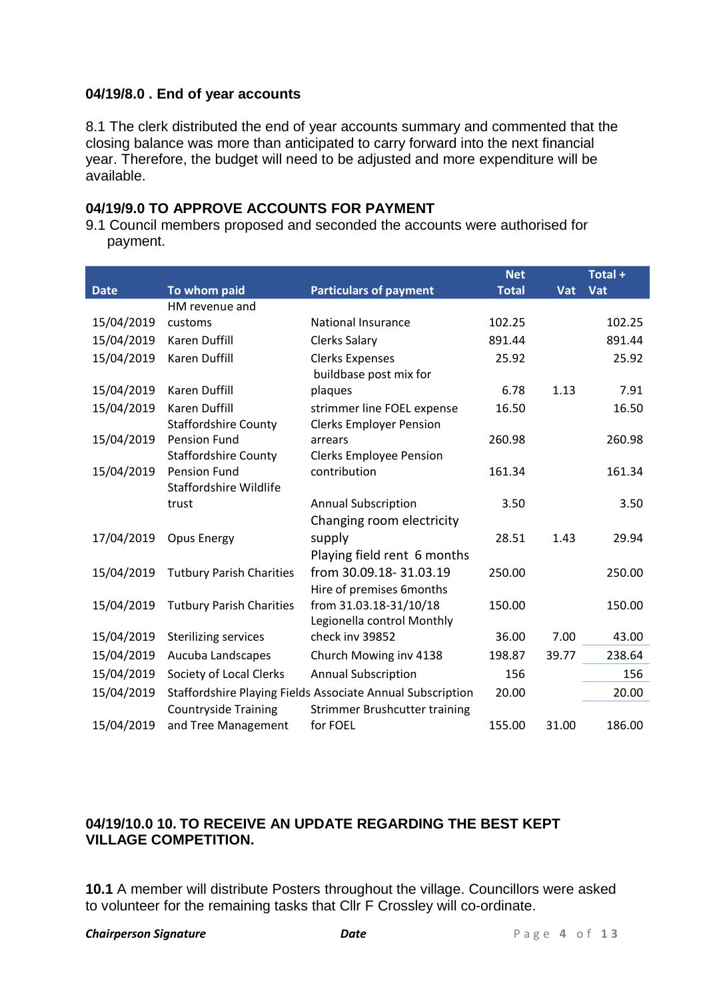## **04/19/8.0 . End of year accounts**

8.1 The clerk distributed the end of year accounts summary and commented that the closing balance was more than anticipated to carry forward into the next financial year. Therefore, the budget will need to be adjusted and more expenditure will be available.

### **04/19/9.0 TO APPROVE ACCOUNTS FOR PAYMENT**

9.1 Council members proposed and seconded the accounts were authorised for payment.

|             |                                 |                                                            | <b>Net</b>   |       | Total + |
|-------------|---------------------------------|------------------------------------------------------------|--------------|-------|---------|
| <b>Date</b> | To whom paid                    | <b>Particulars of payment</b>                              | <b>Total</b> | Vat   | Vat     |
|             | HM revenue and                  |                                                            |              |       |         |
| 15/04/2019  | customs                         | National Insurance                                         | 102.25       |       | 102.25  |
| 15/04/2019  | <b>Karen Duffill</b>            | <b>Clerks Salary</b>                                       | 891.44       |       | 891.44  |
| 15/04/2019  | Karen Duffill                   | <b>Clerks Expenses</b>                                     | 25.92        |       | 25.92   |
|             |                                 | buildbase post mix for                                     |              |       |         |
| 15/04/2019  | <b>Karen Duffill</b>            | plaques                                                    | 6.78         | 1.13  | 7.91    |
| 15/04/2019  | <b>Karen Duffill</b>            | strimmer line FOEL expense                                 | 16.50        |       | 16.50   |
|             | <b>Staffordshire County</b>     | <b>Clerks Employer Pension</b>                             |              |       |         |
| 15/04/2019  | <b>Pension Fund</b>             | arrears                                                    | 260.98       |       | 260.98  |
|             | <b>Staffordshire County</b>     | <b>Clerks Employee Pension</b>                             |              |       |         |
| 15/04/2019  | <b>Pension Fund</b>             | contribution                                               | 161.34       |       | 161.34  |
|             | <b>Staffordshire Wildlife</b>   |                                                            |              |       |         |
|             | trust                           | <b>Annual Subscription</b>                                 | 3.50         |       | 3.50    |
|             |                                 | Changing room electricity                                  |              |       |         |
| 17/04/2019  | <b>Opus Energy</b>              | supply                                                     | 28.51        | 1.43  | 29.94   |
|             |                                 | Playing field rent 6 months                                |              |       |         |
| 15/04/2019  | <b>Tutbury Parish Charities</b> | from 30.09.18-31.03.19                                     | 250.00       |       | 250.00  |
|             |                                 | Hire of premises 6months                                   |              |       |         |
| 15/04/2019  | <b>Tutbury Parish Charities</b> | from 31.03.18-31/10/18                                     | 150.00       |       | 150.00  |
|             |                                 | Legionella control Monthly                                 |              |       |         |
| 15/04/2019  | <b>Sterilizing services</b>     | check inv 39852                                            | 36.00        | 7.00  | 43.00   |
| 15/04/2019  | Aucuba Landscapes               | Church Mowing inv 4138                                     | 198.87       | 39.77 | 238.64  |
| 15/04/2019  | Society of Local Clerks         | <b>Annual Subscription</b>                                 | 156          |       | 156     |
| 15/04/2019  |                                 | Staffordshire Playing Fields Associate Annual Subscription | 20.00        |       | 20.00   |
|             | <b>Countryside Training</b>     | Strimmer Brushcutter training                              |              |       |         |
| 15/04/2019  | and Tree Management             | for FOEL                                                   | 155.00       | 31.00 | 186.00  |

# **04/19/10.0 10. TO RECEIVE AN UPDATE REGARDING THE BEST KEPT VILLAGE COMPETITION.**

**10.1** A member will distribute Posters throughout the village. Councillors were asked to volunteer for the remaining tasks that Cllr F Crossley will co-ordinate.

#### **Chairperson Signature** *Date P* **a g e 4 o f 1 3**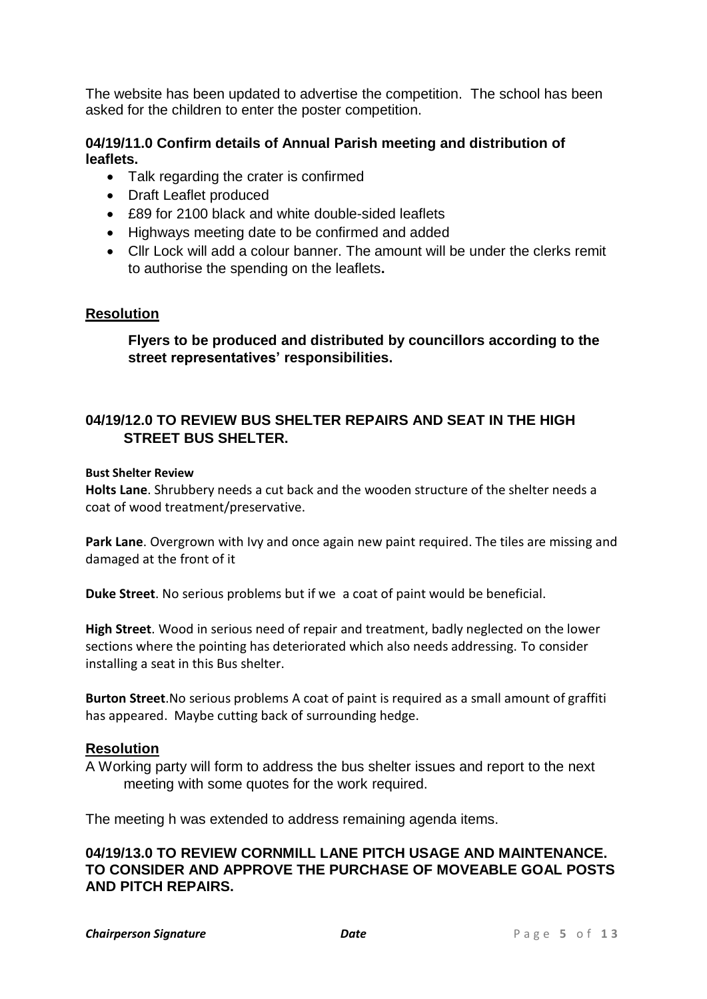The website has been updated to advertise the competition. The school has been asked for the children to enter the poster competition.

## **04/19/11.0 Confirm details of Annual Parish meeting and distribution of leaflets.**

- Talk regarding the crater is confirmed
- Draft Leaflet produced
- £89 for 2100 black and white double-sided leaflets
- Highways meeting date to be confirmed and added
- Cllr Lock will add a colour banner. The amount will be under the clerks remit to authorise the spending on the leaflets**.**

## **Resolution**

**Flyers to be produced and distributed by councillors according to the street representatives' responsibilities.**

## **04/19/12.0 TO REVIEW BUS SHELTER REPAIRS AND SEAT IN THE HIGH STREET BUS SHELTER.**

#### **Bust Shelter Review**

**Holts Lane**. Shrubbery needs a cut back and the wooden structure of the shelter needs a coat of wood treatment/preservative.

**Park Lane**. Overgrown with Ivy and once again new paint required. The tiles are missing and damaged at the front of it

**Duke Street**. No serious problems but if we a coat of paint would be beneficial.

**High Street**. Wood in serious need of repair and treatment, badly neglected on the lower sections where the pointing has deteriorated which also needs addressing. To consider installing a seat in this Bus shelter.

**Burton Street**.No serious problems A coat of paint is required as a small amount of graffiti has appeared. Maybe cutting back of surrounding hedge.

## **Resolution**

A Working party will form to address the bus shelter issues and report to the next meeting with some quotes for the work required.

The meeting h was extended to address remaining agenda items.

### **04/19/13.0 TO REVIEW CORNMILL LANE PITCH USAGE AND MAINTENANCE. TO CONSIDER AND APPROVE THE PURCHASE OF MOVEABLE GOAL POSTS AND PITCH REPAIRS.**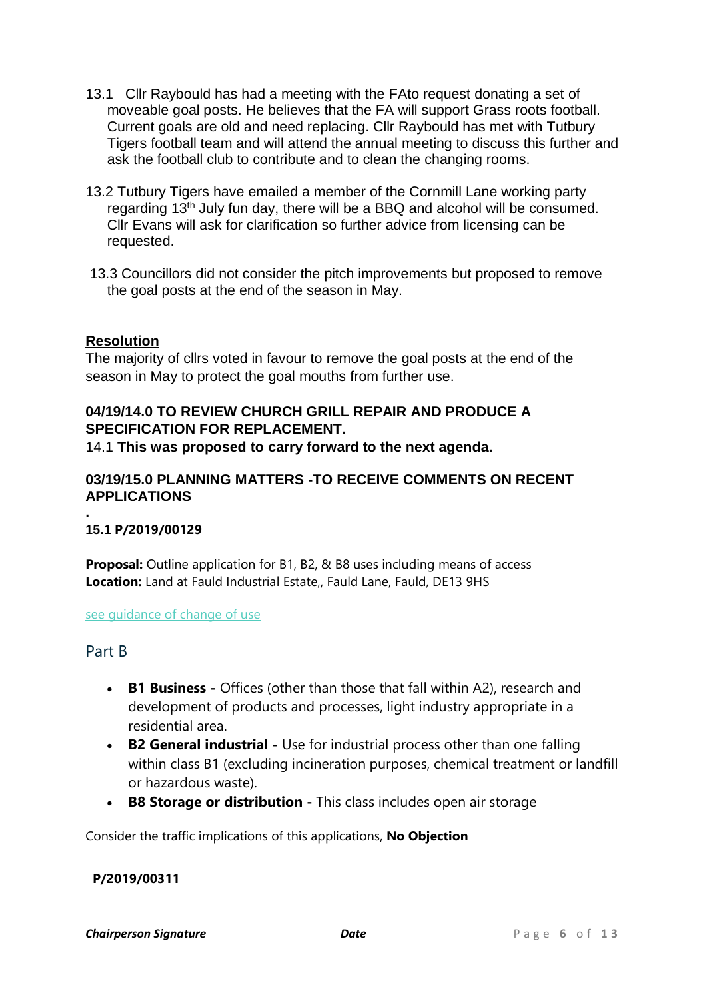- 13.1 Cllr Raybould has had a meeting with the FAto request donating a set of moveable goal posts. He believes that the FA will support Grass roots football. Current goals are old and need replacing. Cllr Raybould has met with Tutbury Tigers football team and will attend the annual meeting to discuss this further and ask the football club to contribute and to clean the changing rooms.
- 13.2 Tutbury Tigers have emailed a member of the Cornmill Lane working party regarding 13th July fun day, there will be a BBQ and alcohol will be consumed. Cllr Evans will ask for clarification so further advice from licensing can be requested.
- 13.3 Councillors did not consider the pitch improvements but proposed to remove the goal posts at the end of the season in May.

## **Resolution**

The majority of cllrs voted in favour to remove the goal posts at the end of the season in May to protect the goal mouths from further use.

# **04/19/14.0 TO REVIEW CHURCH GRILL REPAIR AND PRODUCE A SPECIFICATION FOR REPLACEMENT.**

14.1 **This was proposed to carry forward to the next agenda.**

## **03/19/15.0 PLANNING MATTERS -TO RECEIVE COMMENTS ON RECENT APPLICATIONS**

# **15.1 [P/2019/00129](http://www.eaststaffsbc.gov.uk/MVM/Online/dms/DocumentViewer.aspx?PK=633119&SearchType=Planning%20Application)**

**Proposal:** Outline application for B1, B2, & B8 uses including means of access **Location:** Land at Fauld Industrial Estate,, Fauld Lane, Fauld, DE13 9HS

#### see quidance of change of use

## Part B

**.**

- **B1 Business -** Offices (other than those that fall within A2), research and development of products and processes, light industry appropriate in a residential area.
- **B2 General industrial -** Use for industrial process other than one falling within class B1 (excluding incineration purposes, chemical treatment or landfill or hazardous waste).
- **B8 Storage or distribution -** This class includes open air storage

Consider the traffic implications of this applications, **No Objection**

## **[P/2019/00311](http://www.eaststaffsbc.gov.uk/Northgate/PlanningExplorer/Generic/StdDetails.aspx?PT=Planning%20Applications%20On-Line&TYPE=PL/PlanningPK.xml&PARAM0=633299&XSLT=/Northgate/PlanningExplorer/SiteFiles/Skins/EastStaffs/xslt/PL/PLDetails.xslt&FT=Planning%20Application%20Details&PUBLIC=Y&XMLSIDE=/Northgate/PlanningExplorer/SiteFiles/Skins/EastStaffs/Menus/PL.xml&DAURI=PLANNING)**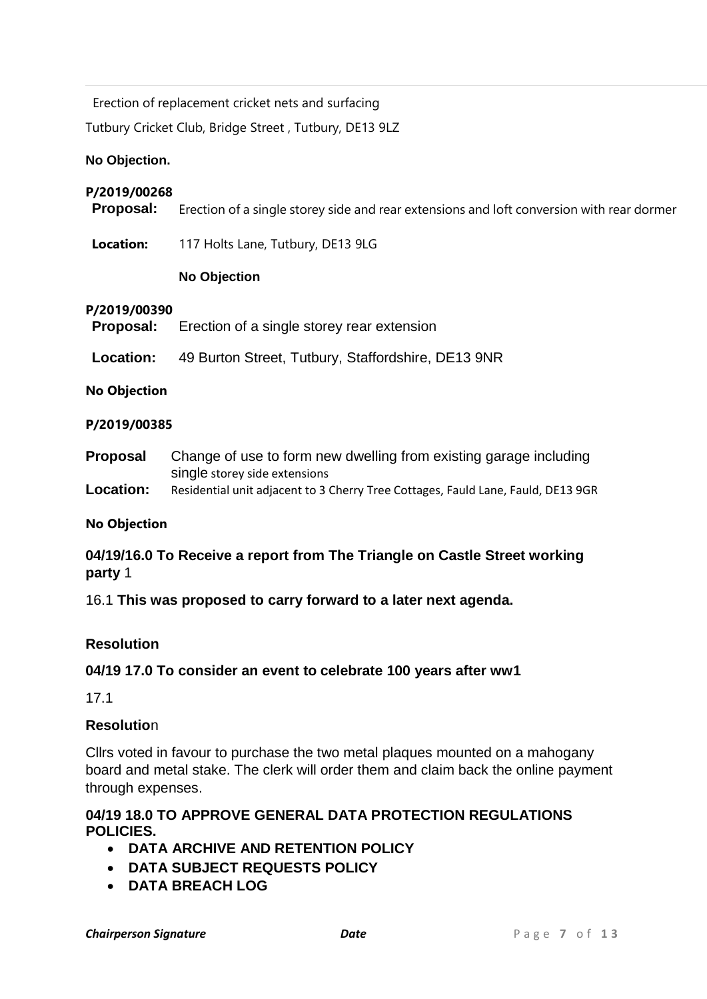Erection of replacement cricket nets and surfacing

Tutbury Cricket Club, Bridge Street , Tutbury, DE13 9LZ

### **No Objection.**

### **P/2019/00268**

**Proposal:** Erection of a single storey side and rear extensions and loft conversion with rear dormer

**Location:** 117 Holts Lane, Tutbury, DE13 9LG

## **No Objection**

#### **P/2019/00390**

| Proposal:           | Erection of a single storey rear extension                                                         |  |  |
|---------------------|----------------------------------------------------------------------------------------------------|--|--|
| Location:           | 49 Burton Street, Tutbury, Staffordshire, DE13 9NR                                                 |  |  |
| <b>No Objection</b> |                                                                                                    |  |  |
| P/2019/00385        |                                                                                                    |  |  |
| <b>Proposal</b>     | Change of use to form new dwelling from existing garage including<br>single storey side extensions |  |  |
| Location:           | Residential unit adjacent to 3 Cherry Tree Cottages, Fauld Lane, Fauld, DE13 9GR                   |  |  |

#### **No Objection**

# **04/19/16.0 To Receive a report from The Triangle on Castle Street working party** 1

16.1 **This was proposed to carry forward to a later next agenda.**

## **Resolution**

## **04/19 17.0 To consider an event to celebrate 100 years after ww1**

17.1

# **Resolutio**n

Cllrs voted in favour to purchase the two metal plaques mounted on a mahogany board and metal stake. The clerk will order them and claim back the online payment through expenses.

## **04/19 18.0 TO APPROVE GENERAL DATA PROTECTION REGULATIONS POLICIES.**

- **DATA ARCHIVE AND RETENTION POLICY**
- **DATA SUBJECT REQUESTS POLICY**
- **DATA BREACH LOG**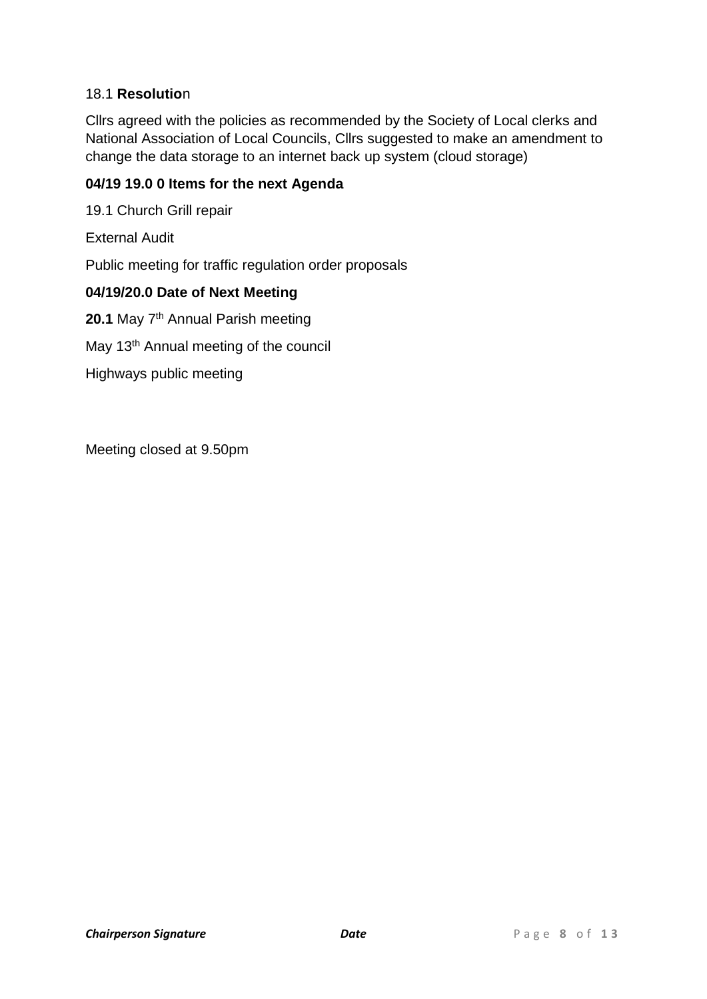## 18.1 **Resolutio**n

Cllrs agreed with the policies as recommended by the Society of Local clerks and National Association of Local Councils, Cllrs suggested to make an amendment to change the data storage to an internet back up system (cloud storage)

## **04/19 19.0 0 Items for the next Agenda**

19.1 Church Grill repair

External Audit

Public meeting for traffic regulation order proposals

## **04/19/20.0 Date of Next Meeting**

20.1 May 7<sup>th</sup> Annual Parish meeting

May 13<sup>th</sup> Annual meeting of the council

Highways public meeting

Meeting closed at 9.50pm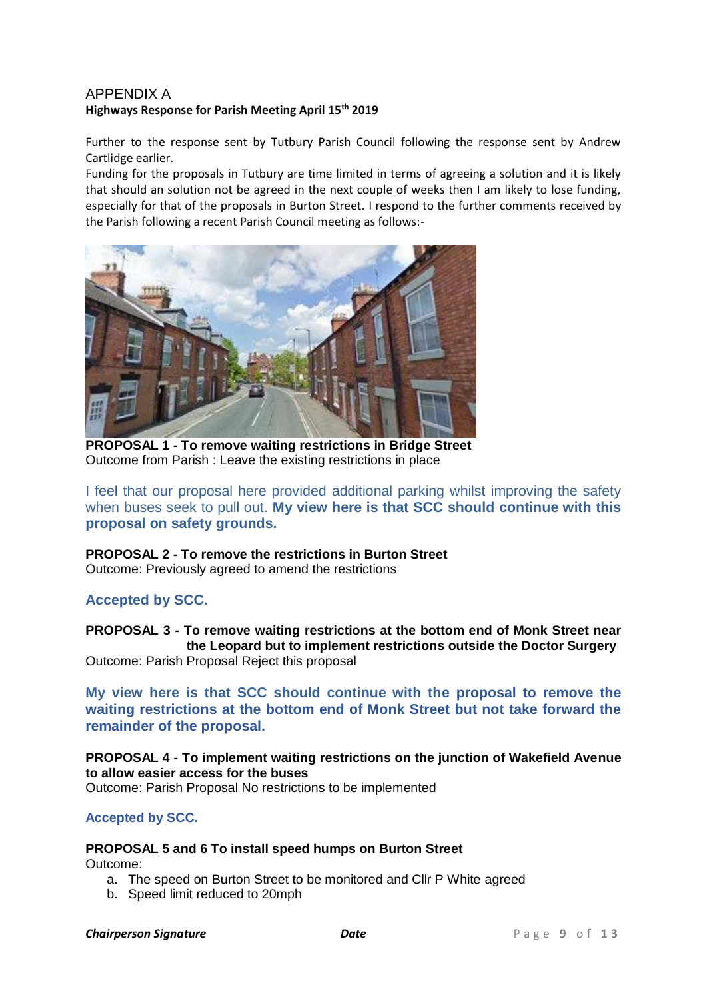### APPENDIX A **Highways Response for Parish Meeting April 15th 2019**

Further to the response sent by Tutbury Parish Council following the response sent by Andrew Cartlidge earlier.

Funding for the proposals in Tutbury are time limited in terms of agreeing a solution and it is likely that should an solution not be agreed in the next couple of weeks then I am likely to lose funding, especially for that of the proposals in Burton Street. I respond to the further comments received by the Parish following a recent Parish Council meeting as follows:-



**PROPOSAL 1 - To remove waiting restrictions in Bridge Street** Outcome from Parish : Leave the existing restrictions in place

I feel that our proposal here provided additional parking whilst improving the safety when buses seek to pull out. **My view here is that SCC should continue with this proposal on safety grounds.**

# **PROPOSAL 2 - To remove the restrictions in Burton Street**

Outcome: Previously agreed to amend the restrictions

## **Accepted by SCC.**

**PROPOSAL 3 - To remove waiting restrictions at the bottom end of Monk Street near the Leopard but to implement restrictions outside the Doctor Surgery** Outcome: Parish Proposal Reject this proposal

**My view here is that SCC should continue with the proposal to remove the waiting restrictions at the bottom end of Monk Street but not take forward the remainder of the proposal.**

### **PROPOSAL 4 - To implement waiting restrictions on the junction of Wakefield Avenue to allow easier access for the buses**

Outcome: Parish Proposal No restrictions to be implemented

## **Accepted by SCC.**

## **PROPOSAL 5 and 6 To install speed humps on Burton Street**

Outcome:

- a. The speed on Burton Street to be monitored and Cllr P White agreed
- b. Speed limit reduced to 20mph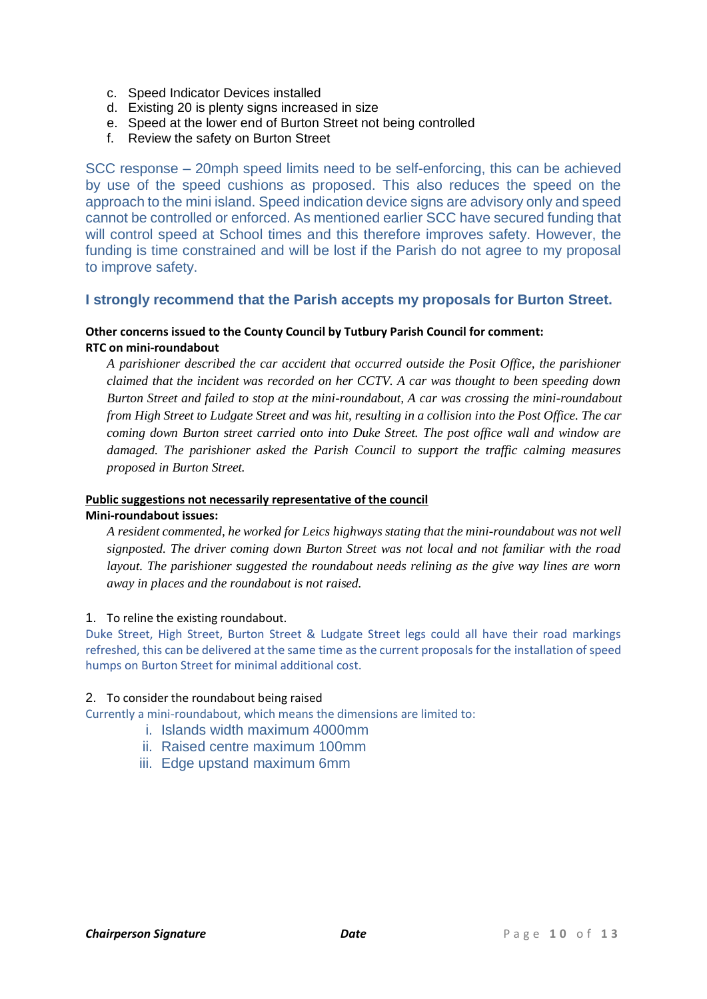- c. Speed Indicator Devices installed
- d. Existing 20 is plenty signs increased in size
- e. Speed at the lower end of Burton Street not being controlled
- f. Review the safety on Burton Street

SCC response – 20mph speed limits need to be self-enforcing, this can be achieved by use of the speed cushions as proposed. This also reduces the speed on the approach to the mini island. Speed indication device signs are advisory only and speed cannot be controlled or enforced. As mentioned earlier SCC have secured funding that will control speed at School times and this therefore improves safety. However, the funding is time constrained and will be lost if the Parish do not agree to my proposal to improve safety.

#### **I strongly recommend that the Parish accepts my proposals for Burton Street.**

#### **Other concerns issued to the County Council by Tutbury Parish Council for comment: RTC on mini-roundabout**

*A parishioner described the car accident that occurred outside the Posit Office, the parishioner claimed that the incident was recorded on her CCTV. A car was thought to been speeding down Burton Street and failed to stop at the mini-roundabout, A car was crossing the mini-roundabout from High Street to Ludgate Street and was hit, resulting in a collision into the Post Office. The car coming down Burton street carried onto into Duke Street. The post office wall and window are damaged. The parishioner asked the Parish Council to support the traffic calming measures proposed in Burton Street.*

### **Public suggestions not necessarily representative of the council**

#### **Mini-roundabout issues:**

*A resident commented, he worked for Leics highways stating that the mini-roundabout was not well signposted. The driver coming down Burton Street was not local and not familiar with the road layout. The parishioner suggested the roundabout needs relining as the give way lines are worn away in places and the roundabout is not raised.*

#### 1. To reline the existing roundabout.

Duke Street, High Street, Burton Street & Ludgate Street legs could all have their road markings refreshed, this can be delivered at the same time as the current proposals for the installation of speed humps on Burton Street for minimal additional cost.

#### 2. To consider the roundabout being raised

Currently a mini-roundabout, which means the dimensions are limited to:

- i. Islands width maximum 4000mm
- ii. Raised centre maximum 100mm
- iii. Edge upstand maximum 6mm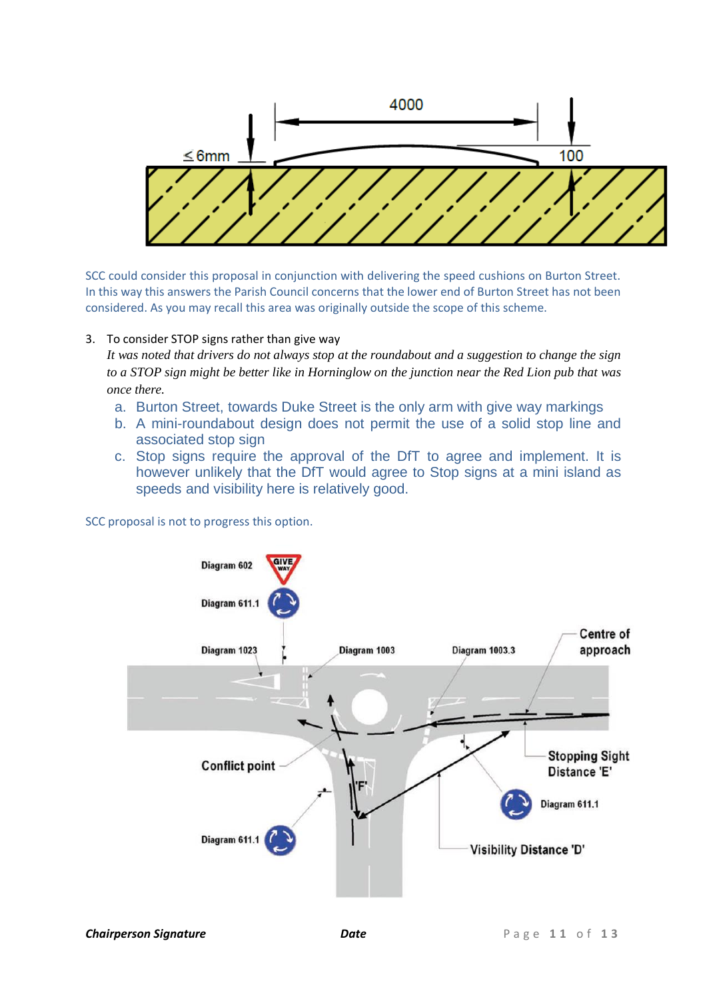

SCC could consider this proposal in conjunction with delivering the speed cushions on Burton Street. In this way this answers the Parish Council concerns that the lower end of Burton Street has not been considered. As you may recall this area was originally outside the scope of this scheme.

#### 3. To consider STOP signs rather than give way

*It was noted that drivers do not always stop at the roundabout and a suggestion to change the sign to a STOP sign might be better like in Horninglow on the junction near the Red Lion pub that was once there.*

- a. Burton Street, towards Duke Street is the only arm with give way markings
- b. A mini-roundabout design does not permit the use of a solid stop line and associated stop sign
- c. Stop signs require the approval of the DfT to agree and implement. It is however unlikely that the DfT would agree to Stop signs at a mini island as speeds and visibility here is relatively good.

SCC proposal is not to progress this option.

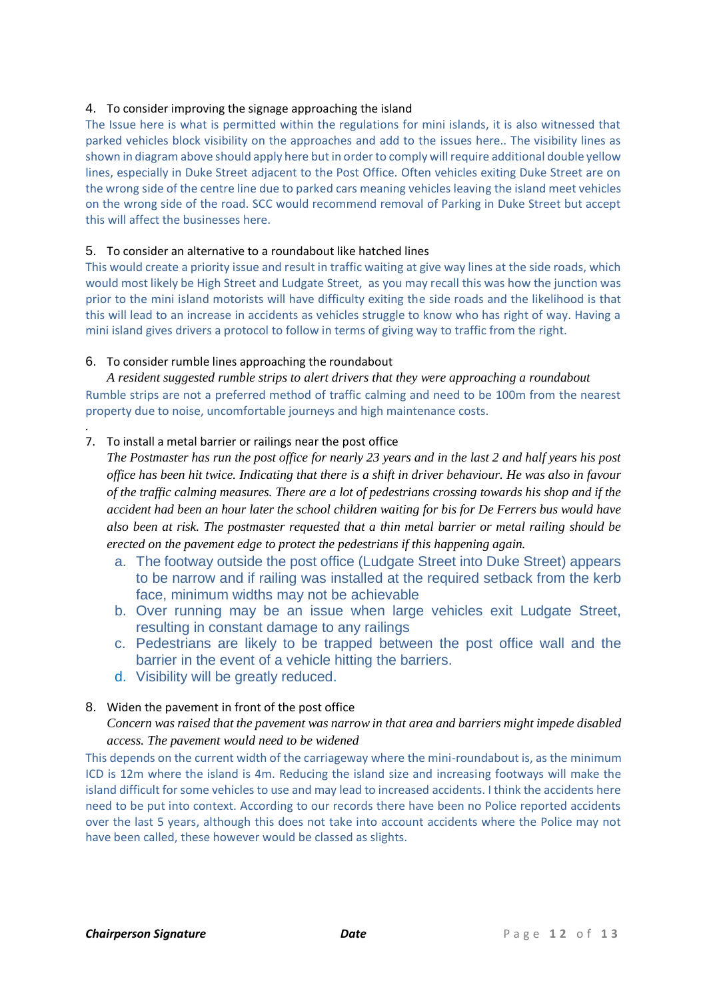#### 4. To consider improving the signage approaching the island

The Issue here is what is permitted within the regulations for mini islands, it is also witnessed that parked vehicles block visibility on the approaches and add to the issues here.. The visibility lines as shown in diagram above should apply here but in order to comply will require additional double yellow lines, especially in Duke Street adjacent to the Post Office. Often vehicles exiting Duke Street are on the wrong side of the centre line due to parked cars meaning vehicles leaving the island meet vehicles on the wrong side of the road. SCC would recommend removal of Parking in Duke Street but accept this will affect the businesses here.

#### 5. To consider an alternative to a roundabout like hatched lines

This would create a priority issue and result in traffic waiting at give way lines at the side roads, which would most likely be High Street and Ludgate Street, as you may recall this was how the junction was prior to the mini island motorists will have difficulty exiting the side roads and the likelihood is that this will lead to an increase in accidents as vehicles struggle to know who has right of way. Having a mini island gives drivers a protocol to follow in terms of giving way to traffic from the right.

#### 6. To consider rumble lines approaching the roundabout

*A resident suggested rumble strips to alert drivers that they were approaching a roundabout* Rumble strips are not a preferred method of traffic calming and need to be 100m from the nearest property due to noise, uncomfortable journeys and high maintenance costs.

#### *.* 7. To install a metal barrier or railings near the post office

*The Postmaster has run the post office for nearly 23 years and in the last 2 and half years his post office has been hit twice. Indicating that there is a shift in driver behaviour. He was also in favour of the traffic calming measures. There are a lot of pedestrians crossing towards his shop and if the accident had been an hour later the school children waiting for bis for De Ferrers bus would have also been at risk. The postmaster requested that a thin metal barrier or metal railing should be erected on the pavement edge to protect the pedestrians if this happening again.*

- a. The footway outside the post office (Ludgate Street into Duke Street) appears to be narrow and if railing was installed at the required setback from the kerb face, minimum widths may not be achievable
- b. Over running may be an issue when large vehicles exit Ludgate Street, resulting in constant damage to any railings
- c. Pedestrians are likely to be trapped between the post office wall and the barrier in the event of a vehicle hitting the barriers.
- d. Visibility will be greatly reduced.

#### 8. Widen the pavement in front of the post office

*Concern was raised that the pavement was narrow in that area and barriers might impede disabled access. The pavement would need to be widened*

This depends on the current width of the carriageway where the mini-roundabout is, as the minimum ICD is 12m where the island is 4m. Reducing the island size and increasing footways will make the island difficult for some vehicles to use and may lead to increased accidents. I think the accidents here need to be put into context. According to our records there have been no Police reported accidents over the last 5 years, although this does not take into account accidents where the Police may not have been called, these however would be classed as slights.